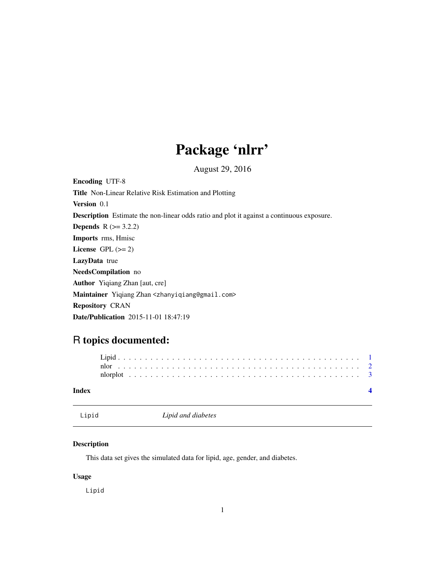## Package 'nlrr'

August 29, 2016

<span id="page-0-0"></span>Encoding UTF-8 Title Non-Linear Relative Risk Estimation and Plotting Version 0.1 Description Estimate the non-linear odds ratio and plot it against a continuous exposure. **Depends**  $R$  ( $>= 3.2.2$ ) Imports rms, Hmisc License GPL  $(>= 2)$ LazyData true NeedsCompilation no Author Yiqiang Zhan [aut, cre] Maintainer Yiqiang Zhan <zhanyiqiang@gmail.com> Repository CRAN

Date/Publication 2015-11-01 18:47:19

### R topics documented:

| Index |  |  |  |  |  |  |  |  |  |  |  |  |  |  |  |  |  |  |  |  |  |  |
|-------|--|--|--|--|--|--|--|--|--|--|--|--|--|--|--|--|--|--|--|--|--|--|
|       |  |  |  |  |  |  |  |  |  |  |  |  |  |  |  |  |  |  |  |  |  |  |
|       |  |  |  |  |  |  |  |  |  |  |  |  |  |  |  |  |  |  |  |  |  |  |
|       |  |  |  |  |  |  |  |  |  |  |  |  |  |  |  |  |  |  |  |  |  |  |

Lipid *Lipid and diabetes*

#### Description

This data set gives the simulated data for lipid, age, gender, and diabetes.

#### Usage

Lipid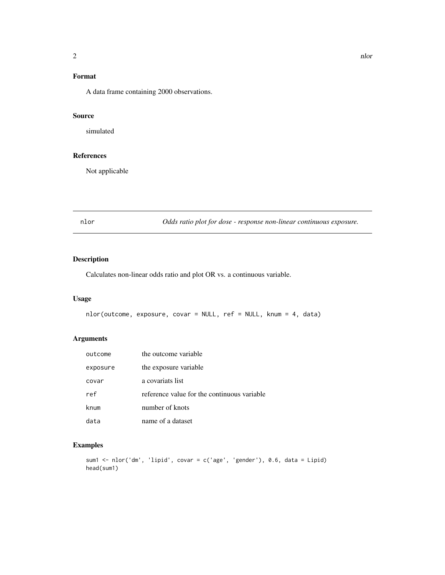#### <span id="page-1-0"></span>Format

A data frame containing 2000 observations.

#### Source

simulated

#### References

Not applicable

nlor *Odds ratio plot for dose - response non-linear continuous exposure.*

#### Description

Calculates non-linear odds ratio and plot OR vs. a continuous variable.

#### Usage

```
nlor(outcome, exposure, covar = NULL, ref = NULL, knum = 4, data)
```
#### Arguments

| outcome  | the outcome variable                        |
|----------|---------------------------------------------|
| exposure | the exposure variable                       |
| covar    | a covariats list                            |
| ref      | reference value for the continuous variable |
| knum     | number of knots                             |
| data     | name of a dataset                           |

#### Examples

```
sum1 <- nlor('dm', 'lipid', covar = c('age', 'gender'), 0.6, data = Lipid)
head(sum1)
```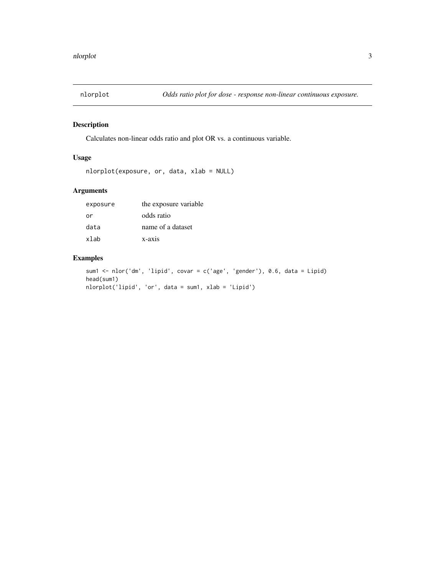<span id="page-2-0"></span>

#### Description

Calculates non-linear odds ratio and plot OR vs. a continuous variable.

#### Usage

```
nlorplot(exposure, or, data, xlab = NULL)
```
#### Arguments

| exposure | the exposure variable |
|----------|-----------------------|
| or       | odds ratio            |
| data     | name of a dataset     |
| xlab     | $x-axis$              |

#### Examples

```
sum1 <- nlor('dm', 'lipid', covar = c('age', 'gender'), 0.6, data = Lipid)
head(sum1)
nlorplot('lipid', 'or', data = sum1, xlab = 'Lipid')
```